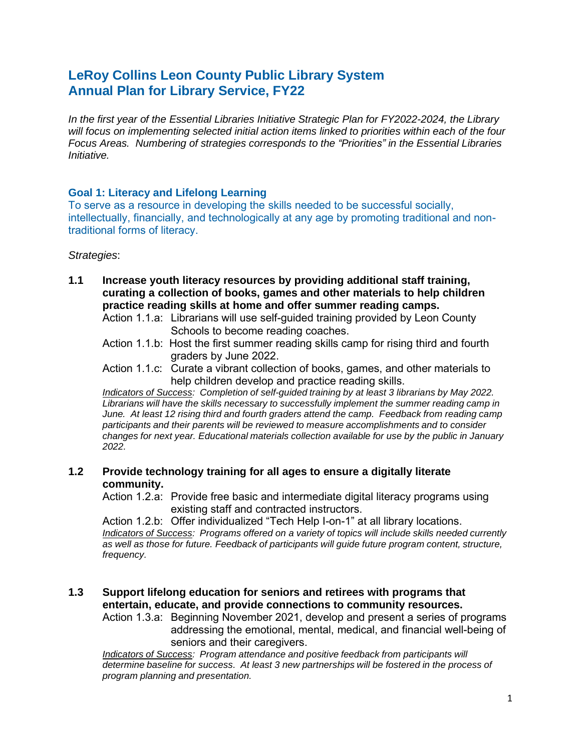# **LeRoy Collins Leon County Public Library System Annual Plan for Library Service, FY22**

*In the first year of the Essential Libraries Initiative Strategic Plan for FY2022-2024, the Library will focus on implementing selected initial action items linked to priorities within each of the four Focus Areas. Numbering of strategies corresponds to the "Priorities" in the Essential Libraries Initiative.*

# **Goal 1: Literacy and Lifelong Learning**

To serve as a resource in developing the skills needed to be successful socially, intellectually, financially, and technologically at any age by promoting traditional and nontraditional forms of literacy.

#### *Strategies*:

- **1.1 Increase youth literacy resources by providing additional staff training, curating a collection of books, games and other materials to help children practice reading skills at home and offer summer reading camps.**
	- Action 1.1.a: Librarians will use self-guided training provided by Leon County Schools to become reading coaches.
	- Action 1.1.b: Host the first summer reading skills camp for rising third and fourth graders by June 2022.
	- Action 1.1.c: Curate a vibrant collection of books, games, and other materials to help children develop and practice reading skills.

*Indicators of Success: Completion of self-guided training by at least 3 librarians by May 2022. Librarians will have the skills necessary to successfully implement the summer reading camp in June. At least 12 rising third and fourth graders attend the camp. Feedback from reading camp participants and their parents will be reviewed to measure accomplishments and to consider changes for next year. Educational materials collection available for use by the public in January 2022.*

# **1.2 Provide technology training for all ages to ensure a digitally literate community.**

Action 1.2.a: Provide free basic and intermediate digital literacy programs using existing staff and contracted instructors.

Action 1.2.b: Offer individualized "Tech Help I-on-1" at all library locations. *Indicators of Success: Programs offered on a variety of topics will include skills needed currently as well as those for future. Feedback of participants will guide future program content, structure, frequency.*

# **1.3 Support lifelong education for seniors and retirees with programs that entertain, educate, and provide connections to community resources.**

Action 1.3.a: Beginning November 2021, develop and present a series of programs addressing the emotional, mental, medical, and financial well-being of seniors and their caregivers.

*Indicators of Success: Program attendance and positive feedback from participants will determine baseline for success. At least 3 new partnerships will be fostered in the process of program planning and presentation.*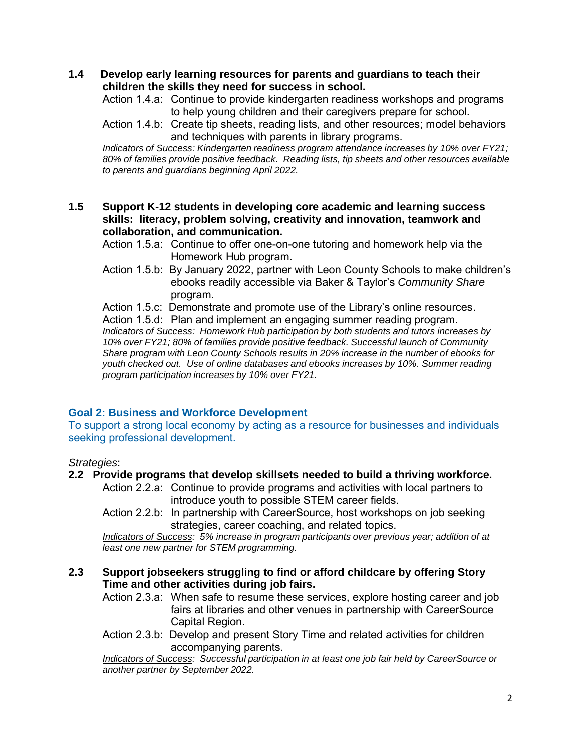**1.4 Develop early learning resources for parents and guardians to teach their children the skills they need for success in school.**

Action 1.4.a: Continue to provide kindergarten readiness workshops and programs to help young children and their caregivers prepare for school.

Action 1.4.b: Create tip sheets, reading lists, and other resources; model behaviors and techniques with parents in library programs.

*Indicators of Success: Kindergarten readiness program attendance increases by 10% over FY21; 80% of families provide positive feedback. Reading lists, tip sheets and other resources available to parents and guardians beginning April 2022.*

**1.5 Support K-12 students in developing core academic and learning success skills: literacy, problem solving, creativity and innovation, teamwork and collaboration, and communication.**

Action 1.5.a: Continue to offer one-on-one tutoring and homework help via the Homework Hub program.

Action 1.5.b: By January 2022, partner with Leon County Schools to make children's ebooks readily accessible via Baker & Taylor's *Community Share*  program.

Action 1.5.c: Demonstrate and promote use of the Library's online resources.

Action 1.5.d: Plan and implement an engaging summer reading program. *Indicators of Success: Homework Hub participation by both students and tutors increases by 10% over FY21; 80% of families provide positive feedback. Successful launch of Community Share program with Leon County Schools results in 20% increase in the number of ebooks for youth checked out. Use of online databases and ebooks increases by 10%. Summer reading program participation increases by 10% over FY21.*

# **Goal 2: Business and Workforce Development**

To support a strong local economy by acting as a resource for businesses and individuals seeking professional development.

#### *Strategies*:

#### **2.2 Provide programs that develop skillsets needed to build a thriving workforce.**

Action 2.2.a: Continue to provide programs and activities with local partners to introduce youth to possible STEM career fields.

Action 2.2.b: In partnership with CareerSource, host workshops on job seeking strategies, career coaching, and related topics.

*Indicators of Success: 5% increase in program participants over previous year; addition of at least one new partner for STEM programming.*

# **2.3 Support jobseekers struggling to find or afford childcare by offering Story Time and other activities during job fairs.**

Action 2.3.a: When safe to resume these services, explore hosting career and job fairs at libraries and other venues in partnership with CareerSource Capital Region.

Action 2.3.b: Develop and present Story Time and related activities for children accompanying parents.

*Indicators of Success: Successful participation in at least one job fair held by CareerSource or another partner by September 2022.*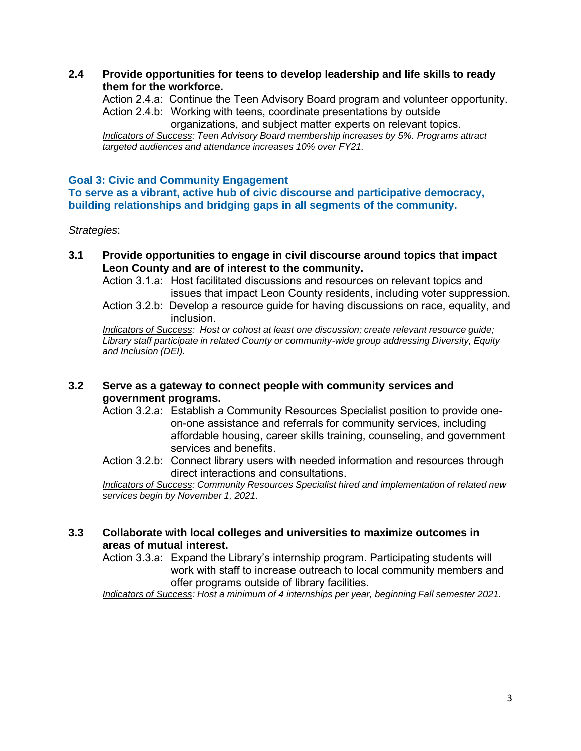**2.4 Provide opportunities for teens to develop leadership and life skills to ready them for the workforce.**

Action 2.4.a: Continue the Teen Advisory Board program and volunteer opportunity. Action 2.4.b: Working with teens, coordinate presentations by outside organizations, and subject matter experts on relevant topics.

*Indicators of Success: Teen Advisory Board membership increases by 5%. Programs attract targeted audiences and attendance increases 10% over FY21.*

#### **Goal 3: Civic and Community Engagement**

**To serve as a vibrant, active hub of civic discourse and participative democracy, building relationships and bridging gaps in all segments of the community.**

*Strategies*:

**3.1 Provide opportunities to engage in civil discourse around topics that impact Leon County and are of interest to the community.**

Action 3.1.a: Host facilitated discussions and resources on relevant topics and issues that impact Leon County residents, including voter suppression.

Action 3.2.b: Develop a resource guide for having discussions on race, equality, and inclusion.

*Indicators of Success: Host or cohost at least one discussion; create relevant resource guide; Library staff participate in related County or community-wide group addressing Diversity, Equity and Inclusion (DEI).*

# **3.2 Serve as a gateway to connect people with community services and government programs.**

- Action 3.2.a: Establish a Community Resources Specialist position to provide oneon-one assistance and referrals for community services, including affordable housing, career skills training, counseling, and government services and benefits.
- Action 3.2.b: Connect library users with needed information and resources through direct interactions and consultations.

*Indicators of Success: Community Resources Specialist hired and implementation of related new services begin by November 1, 2021.*

**3.3 Collaborate with local colleges and universities to maximize outcomes in areas of mutual interest.**

Action 3.3.a: Expand the Library's internship program. Participating students will work with staff to increase outreach to local community members and offer programs outside of library facilities.

*Indicators of Success: Host a minimum of 4 internships per year, beginning Fall semester 2021.*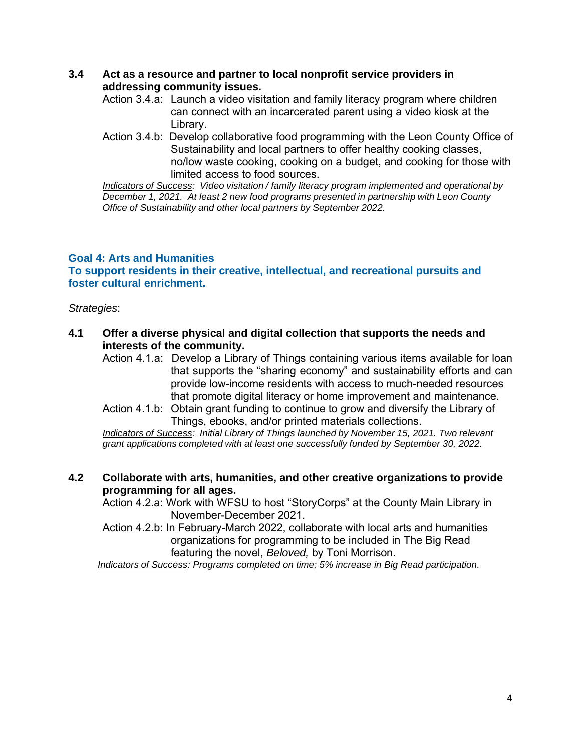# **3.4 Act as a resource and partner to local nonprofit service providers in addressing community issues.**

- Action 3.4.a: Launch a video visitation and family literacy program where children can connect with an incarcerated parent using a video kiosk at the Library.
- Action 3.4.b: Develop collaborative food programming with the Leon County Office of Sustainability and local partners to offer healthy cooking classes, no/low waste cooking, cooking on a budget, and cooking for those with limited access to food sources.

*Indicators of Success: Video visitation / family literacy program implemented and operational by December 1, 2021. At least 2 new food programs presented in partnership with Leon County Office of Sustainability and other local partners by September 2022.*

# **Goal 4: Arts and Humanities**

**To support residents in their creative, intellectual, and recreational pursuits and foster cultural enrichment.**

*Strategies*:

- **4.1 Offer a diverse physical and digital collection that supports the needs and interests of the community.**
	- Action 4.1.a: Develop a Library of Things containing various items available for loan that supports the "sharing economy" and sustainability efforts and can provide low-income residents with access to much-needed resources that promote digital literacy or home improvement and maintenance.
	- Action 4.1.b: Obtain grant funding to continue to grow and diversify the Library of Things, ebooks, and/or printed materials collections.

*Indicators of Success: Initial Library of Things launched by November 15, 2021. Two relevant grant applications completed with at least one successfully funded by September 30, 2022.*

# **4.2 Collaborate with arts, humanities, and other creative organizations to provide programming for all ages.**

Action 4.2.a: Work with WFSU to host "StoryCorps" at the County Main Library in November-December 2021.

Action 4.2.b: In February-March 2022, collaborate with local arts and humanities organizations for programming to be included in The Big Read featuring the novel, *Beloved,* by Toni Morrison.

*Indicators of Success: Programs completed on time; 5% increase in Big Read participation.*